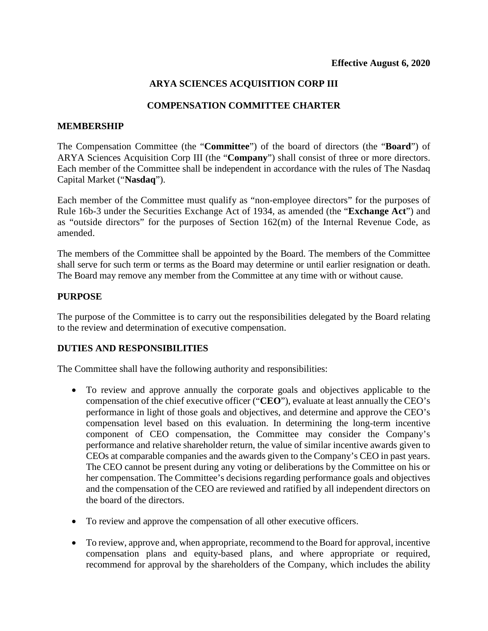# **ARYA SCIENCES ACQUISITION CORP III**

### **COMPENSATION COMMITTEE CHARTER**

#### **MEMBERSHIP**

The Compensation Committee (the "**Committee**") of the board of directors (the "**Board**") of ARYA Sciences Acquisition Corp III (the "**Company**") shall consist of three or more directors. Each member of the Committee shall be independent in accordance with the rules of The Nasdaq Capital Market ("**Nasdaq**").

Each member of the Committee must qualify as "non-employee directors" for the purposes of Rule 16b-3 under the Securities Exchange Act of 1934, as amended (the "**Exchange Act**") and as "outside directors" for the purposes of Section 162(m) of the Internal Revenue Code, as amended.

The members of the Committee shall be appointed by the Board. The members of the Committee shall serve for such term or terms as the Board may determine or until earlier resignation or death. The Board may remove any member from the Committee at any time with or without cause.

### **PURPOSE**

The purpose of the Committee is to carry out the responsibilities delegated by the Board relating to the review and determination of executive compensation.

# **DUTIES AND RESPONSIBILITIES**

The Committee shall have the following authority and responsibilities:

- To review and approve annually the corporate goals and objectives applicable to the compensation of the chief executive officer ("**CEO**"), evaluate at least annually the CEO's performance in light of those goals and objectives, and determine and approve the CEO's compensation level based on this evaluation. In determining the long-term incentive component of CEO compensation, the Committee may consider the Company's performance and relative shareholder return, the value of similar incentive awards given to CEOs at comparable companies and the awards given to the Company's CEO in past years. The CEO cannot be present during any voting or deliberations by the Committee on his or her compensation. The Committee's decisions regarding performance goals and objectives and the compensation of the CEO are reviewed and ratified by all independent directors on the board of the directors.
- To review and approve the compensation of all other executive officers.
- To review, approve and, when appropriate, recommend to the Board for approval, incentive compensation plans and equity-based plans, and where appropriate or required, recommend for approval by the shareholders of the Company, which includes the ability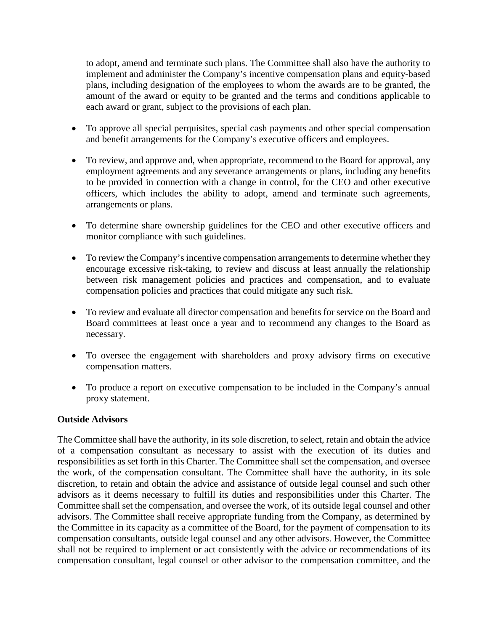to adopt, amend and terminate such plans. The Committee shall also have the authority to implement and administer the Company's incentive compensation plans and equity-based plans, including designation of the employees to whom the awards are to be granted, the amount of the award or equity to be granted and the terms and conditions applicable to each award or grant, subject to the provisions of each plan.

- To approve all special perquisites, special cash payments and other special compensation and benefit arrangements for the Company's executive officers and employees.
- To review, and approve and, when appropriate, recommend to the Board for approval, any employment agreements and any severance arrangements or plans, including any benefits to be provided in connection with a change in control, for the CEO and other executive officers, which includes the ability to adopt, amend and terminate such agreements, arrangements or plans.
- To determine share ownership guidelines for the CEO and other executive officers and monitor compliance with such guidelines.
- To review the Company's incentive compensation arrangements to determine whether they encourage excessive risk-taking, to review and discuss at least annually the relationship between risk management policies and practices and compensation, and to evaluate compensation policies and practices that could mitigate any such risk.
- To review and evaluate all director compensation and benefits for service on the Board and Board committees at least once a year and to recommend any changes to the Board as necessary.
- To oversee the engagement with shareholders and proxy advisory firms on executive compensation matters.
- To produce a report on executive compensation to be included in the Company's annual proxy statement.

# **Outside Advisors**

The Committee shall have the authority, in its sole discretion, to select, retain and obtain the advice of a compensation consultant as necessary to assist with the execution of its duties and responsibilities as set forth in this Charter. The Committee shall set the compensation, and oversee the work, of the compensation consultant. The Committee shall have the authority, in its sole discretion, to retain and obtain the advice and assistance of outside legal counsel and such other advisors as it deems necessary to fulfill its duties and responsibilities under this Charter. The Committee shall set the compensation, and oversee the work, of its outside legal counsel and other advisors. The Committee shall receive appropriate funding from the Company, as determined by the Committee in its capacity as a committee of the Board, for the payment of compensation to its compensation consultants, outside legal counsel and any other advisors. However, the Committee shall not be required to implement or act consistently with the advice or recommendations of its compensation consultant, legal counsel or other advisor to the compensation committee, and the